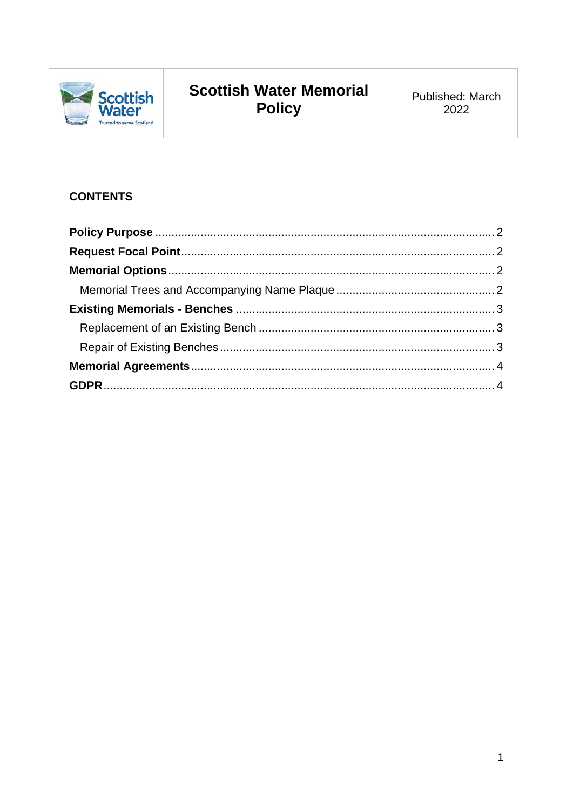

# **Scottish Water Memorial** Policy

# **CONTENTS**

<span id="page-0-0"></span>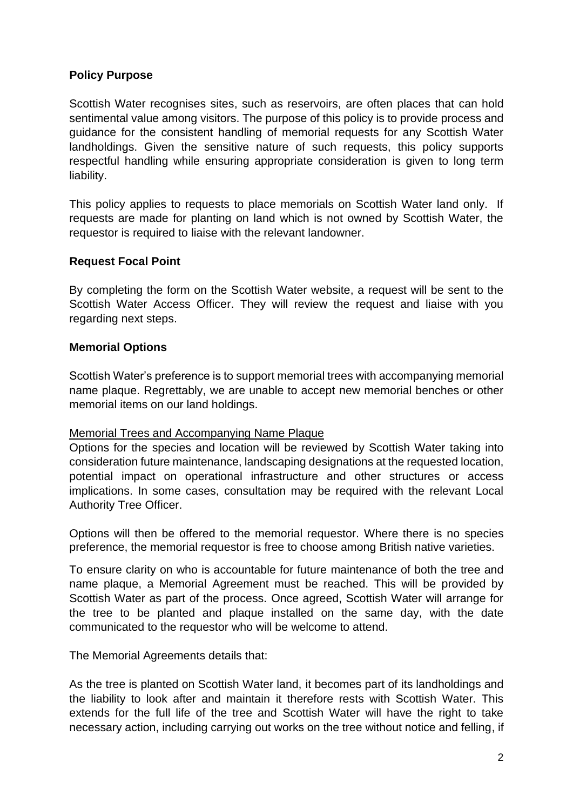# **Policy Purpose**

Scottish Water recognises sites, such as reservoirs, are often places that can hold sentimental value among visitors. The purpose of this policy is to provide process and guidance for the consistent handling of memorial requests for any Scottish Water landholdings. Given the sensitive nature of such requests, this policy supports respectful handling while ensuring appropriate consideration is given to long term liability.

This policy applies to requests to place memorials on Scottish Water land only. If requests are made for planting on land which is not owned by Scottish Water, the requestor is required to liaise with the relevant landowner.

# <span id="page-1-0"></span>**Request Focal Point**

By completing the form on the Scottish Water website, a request will be sent to the Scottish Water Access Officer. They will review the request and liaise with you regarding next steps.

#### <span id="page-1-1"></span>**Memorial Options**

Scottish Water's preference is to support memorial trees with accompanying memorial name plaque. Regrettably, we are unable to accept new memorial benches or other memorial items on our land holdings.

#### <span id="page-1-2"></span>Memorial Trees and Accompanying Name Plaque

Options for the species and location will be reviewed by Scottish Water taking into consideration future maintenance, landscaping designations at the requested location, potential impact on operational infrastructure and other structures or access implications. In some cases, consultation may be required with the relevant Local Authority Tree Officer.

Options will then be offered to the memorial requestor. Where there is no species preference, the memorial requestor is free to choose among British native varieties.

To ensure clarity on who is accountable for future maintenance of both the tree and name plaque, a Memorial Agreement must be reached. This will be provided by Scottish Water as part of the process. Once agreed, Scottish Water will arrange for the tree to be planted and plaque installed on the same day, with the date communicated to the requestor who will be welcome to attend.

The Memorial Agreements details that:

As the tree is planted on Scottish Water land, it becomes part of its landholdings and the liability to look after and maintain it therefore rests with Scottish Water. This extends for the full life of the tree and Scottish Water will have the right to take necessary action, including carrying out works on the tree without notice and felling, if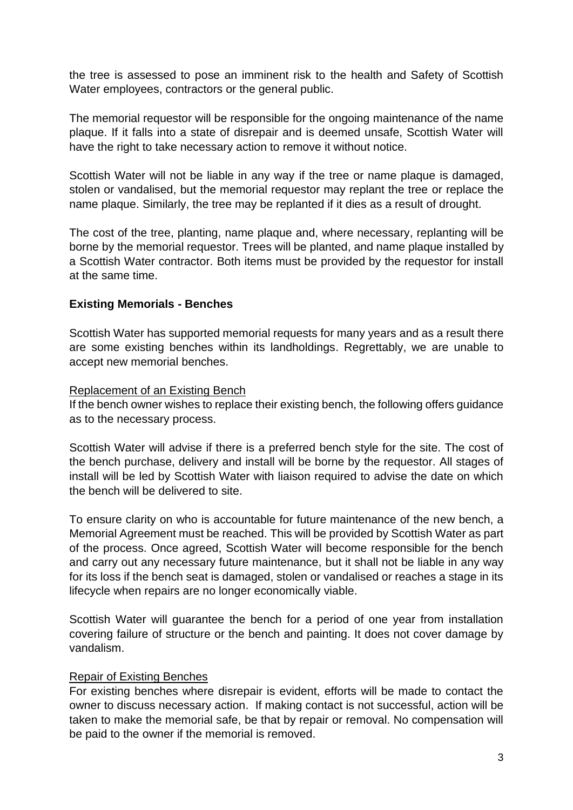the tree is assessed to pose an imminent risk to the health and Safety of Scottish Water employees, contractors or the general public.

The memorial requestor will be responsible for the ongoing maintenance of the name plaque. If it falls into a state of disrepair and is deemed unsafe, Scottish Water will have the right to take necessary action to remove it without notice.

Scottish Water will not be liable in any way if the tree or name plaque is damaged, stolen or vandalised, but the memorial requestor may replant the tree or replace the name plaque. Similarly, the tree may be replanted if it dies as a result of drought.

The cost of the tree, planting, name plaque and, where necessary, replanting will be borne by the memorial requestor. Trees will be planted, and name plaque installed by a Scottish Water contractor. Both items must be provided by the requestor for install at the same time.

# <span id="page-2-0"></span>**Existing Memorials - Benches**

Scottish Water has supported memorial requests for many years and as a result there are some existing benches within its landholdings. Regrettably, we are unable to accept new memorial benches.

#### <span id="page-2-1"></span>Replacement of an Existing Bench

If the bench owner wishes to replace their existing bench, the following offers guidance as to the necessary process.

Scottish Water will advise if there is a preferred bench style for the site. The cost of the bench purchase, delivery and install will be borne by the requestor. All stages of install will be led by Scottish Water with liaison required to advise the date on which the bench will be delivered to site.

To ensure clarity on who is accountable for future maintenance of the new bench, a Memorial Agreement must be reached. This will be provided by Scottish Water as part of the process. Once agreed, Scottish Water will become responsible for the bench and carry out any necessary future maintenance, but it shall not be liable in any way for its loss if the bench seat is damaged, stolen or vandalised or reaches a stage in its lifecycle when repairs are no longer economically viable.

Scottish Water will guarantee the bench for a period of one year from installation covering failure of structure or the bench and painting. It does not cover damage by vandalism.

#### <span id="page-2-2"></span>Repair of Existing Benches

For existing benches where disrepair is evident, efforts will be made to contact the owner to discuss necessary action. If making contact is not successful, action will be taken to make the memorial safe, be that by repair or removal. No compensation will be paid to the owner if the memorial is removed.